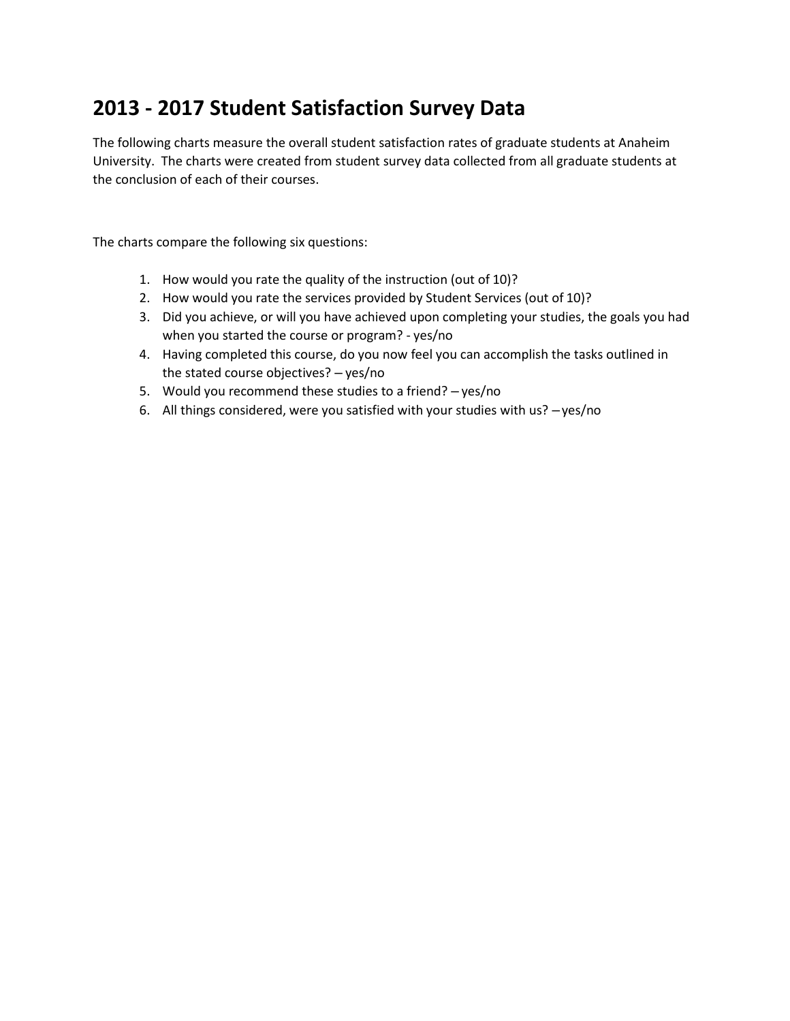## **2013 - 2017 Student Satisfaction Survey Data**

The following charts measure the overall student satisfaction rates of graduate students at Anaheim University. The charts were created from student survey data collected from all graduate students at the conclusion of each of their courses.

The charts compare the following six questions:

- 1. How would you rate the quality of the instruction (out of 10)?
- 2. How would you rate the services provided by Student Services (out of 10)?
- 3. Did you achieve, or will you have achieved upon completing your studies, the goals you had when you started the course or program? - yes/no
- 4. Having completed this course, do you now feel you can accomplish the tasks outlined in the stated course objectives? – yes/no
- 5. Would you recommend these studies to a friend? yes/no
- 6. All things considered, were you satisfied with your studies with us? –yes/no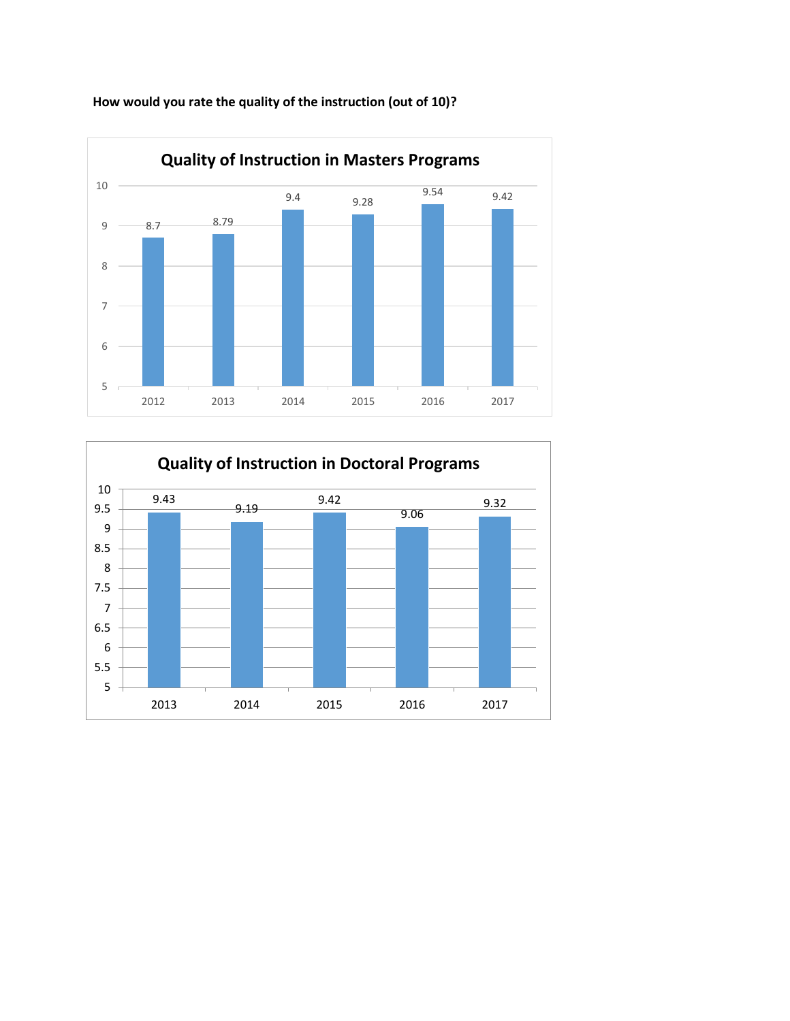

**How would you rate the quality of the instruction (out of 10)?**

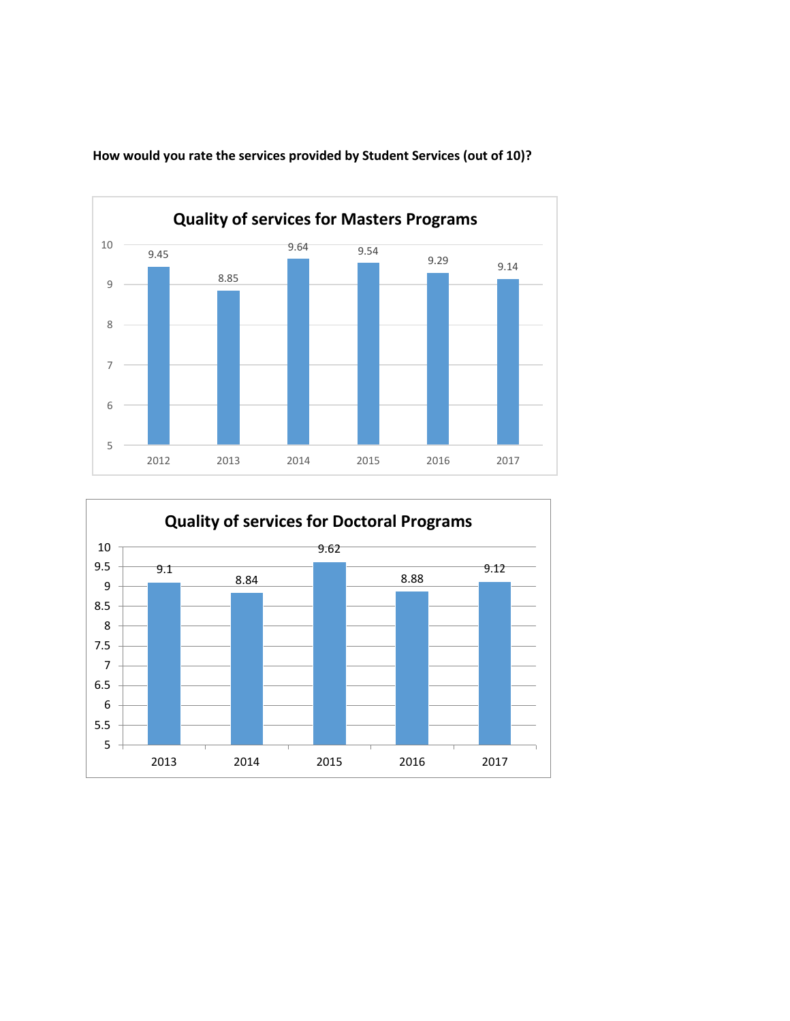

**How would you rate the services provided by Student Services (out of 10)?**

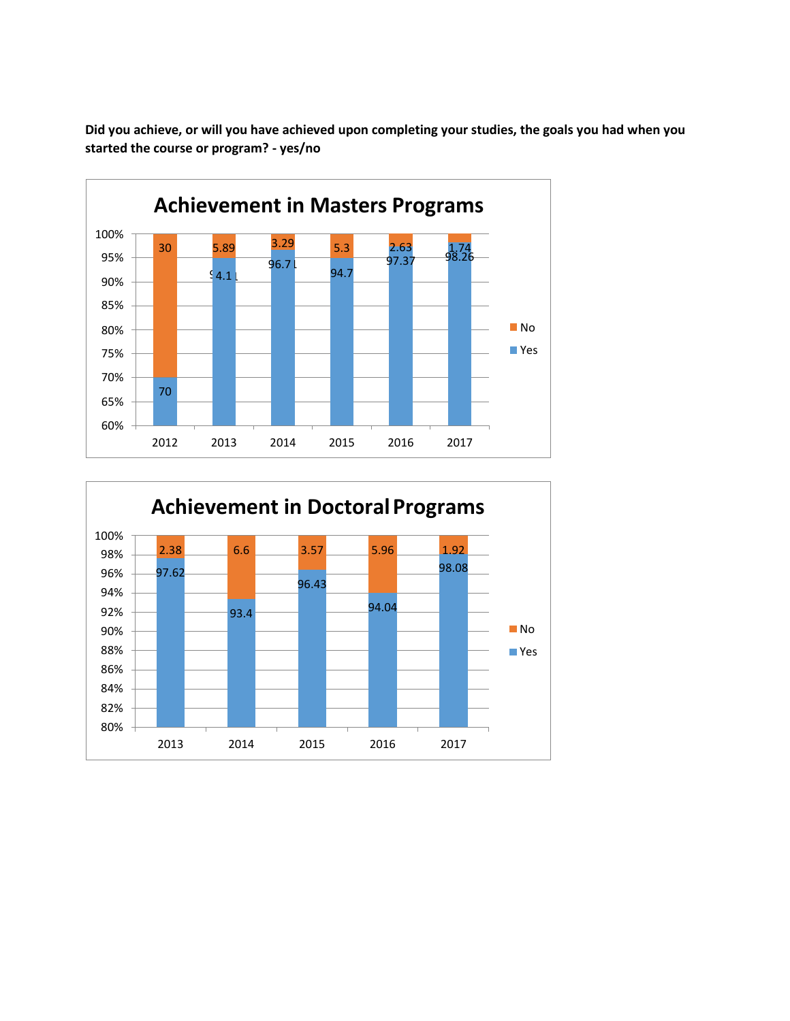**Did you achieve, or will you have achieved upon completing your studies, the goals you had when you started the course or program? - yes/no**



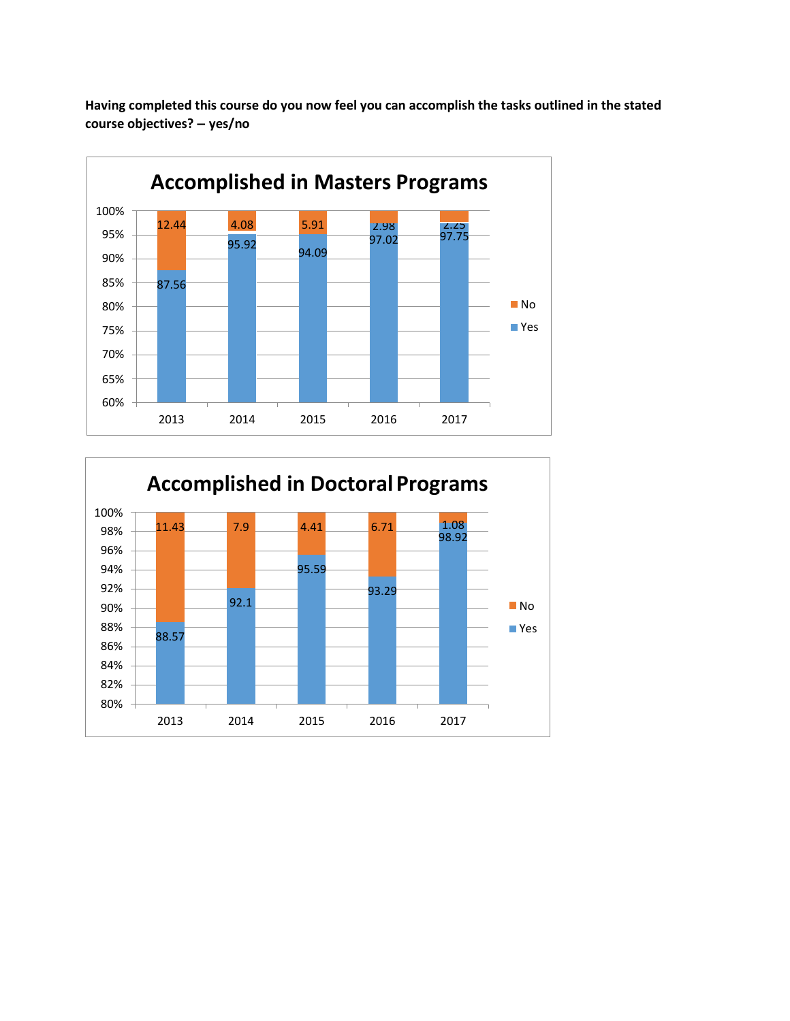

**Having completed this course do you now feel you can accomplish the tasks outlined in the stated course objectives? – yes/no**

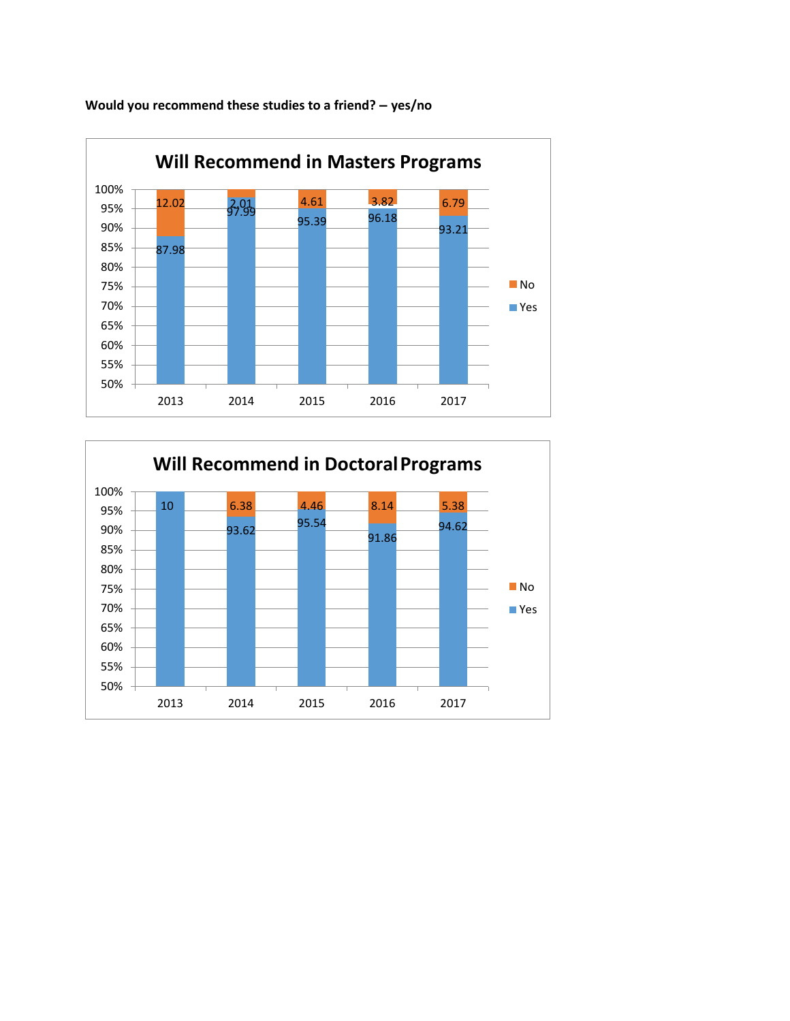

**Would you recommend these studies to a friend? – yes/no**